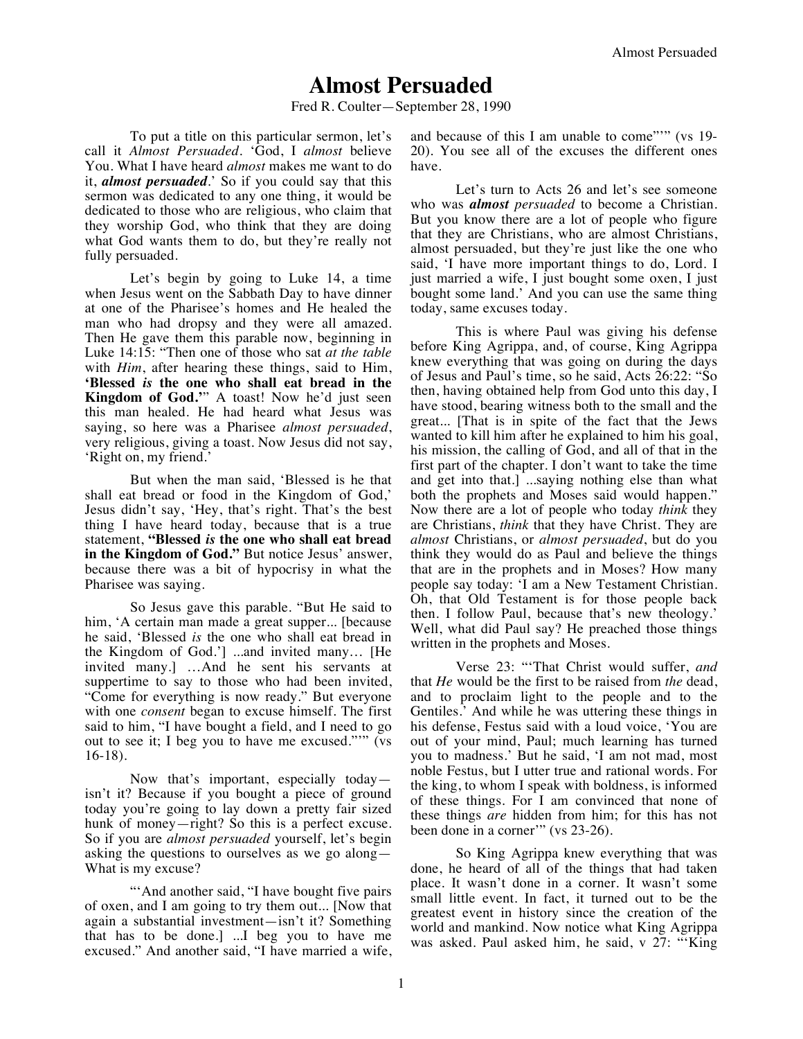## **Almost Persuaded**

Fred R. Coulter—September 28, 1990

To put a title on this particular sermon, let's call it *Almost Persuaded*. 'God, I *almost* believe You. What I have heard *almost* makes me want to do it, *almost persuaded*.' So if you could say that this sermon was dedicated to any one thing, it would be dedicated to those who are religious, who claim that they worship God, who think that they are doing what God wants them to do, but they're really not fully persuaded.

Let's begin by going to Luke 14, a time when Jesus went on the Sabbath Day to have dinner at one of the Pharisee's homes and He healed the man who had dropsy and they were all amazed. Then He gave them this parable now, beginning in Luke 14:15: "Then one of those who sat *at the table* with *Him*, after hearing these things, said to Him, **'Blessed** *is* **the one who shall eat bread in the Kingdom of God.'**" A toast! Now he'd just seen this man healed. He had heard what Jesus was saying, so here was a Pharisee *almost persuaded*, very religious, giving a toast. Now Jesus did not say, 'Right on, my friend.'

But when the man said, 'Blessed is he that shall eat bread or food in the Kingdom of God,' Jesus didn't say, 'Hey, that's right. That's the best thing I have heard today, because that is a true statement, **"Blessed** *is* **the one who shall eat bread in the Kingdom of God."** But notice Jesus' answer, because there was a bit of hypocrisy in what the Pharisee was saying.

So Jesus gave this parable. "But He said to him, 'A certain man made a great supper... [because he said, 'Blessed *is* the one who shall eat bread in the Kingdom of God.'] ...and invited many… [He invited many.] …And he sent his servants at suppertime to say to those who had been invited, "Come for everything is now ready." But everyone with one *consent* began to excuse himself. The first said to him, "I have bought a field, and I need to go out to see it; I beg you to have me excused."'" (vs 16-18).

Now that's important, especially today isn't it? Because if you bought a piece of ground today you're going to lay down a pretty fair sized hunk of money—right? So this is a perfect excuse. So if you are *almost persuaded* yourself, let's begin asking the questions to ourselves as we go along— What is my excuse?

"'And another said, "I have bought five pairs of oxen, and I am going to try them out... [Now that again a substantial investment—isn't it? Something that has to be done.] ...I beg you to have me excused." And another said, "I have married a wife, and because of this I am unable to come""" (vs 19-20). You see all of the excuses the different ones have.

Let's turn to Acts 26 and let's see someone who was *almost persuaded* to become a Christian. But you know there are a lot of people who figure that they are Christians, who are almost Christians, almost persuaded, but they're just like the one who said, 'I have more important things to do, Lord. I just married a wife, I just bought some oxen, I just bought some land.' And you can use the same thing today, same excuses today.

This is where Paul was giving his defense before King Agrippa, and, of course, King Agrippa knew everything that was going on during the days of Jesus and Paul's time, so he said, Acts 26:22: "So then, having obtained help from God unto this day, I have stood, bearing witness both to the small and the great... [That is in spite of the fact that the Jews wanted to kill him after he explained to him his goal, his mission, the calling of God, and all of that in the first part of the chapter. I don't want to take the time and get into that.] ...saying nothing else than what both the prophets and Moses said would happen." Now there are a lot of people who today *think* they are Christians, *think* that they have Christ. They are *almost* Christians, or *almost persuaded*, but do you think they would do as Paul and believe the things that are in the prophets and in Moses? How many people say today: 'I am a New Testament Christian. Oh, that Old Testament is for those people back then. I follow Paul, because that's new theology.' Well, what did Paul say? He preached those things written in the prophets and Moses.

Verse 23: "'That Christ would suffer, *and*  that *He* would be the first to be raised from *the* dead, and to proclaim light to the people and to the Gentiles.' And while he was uttering these things in his defense, Festus said with a loud voice, 'You are out of your mind, Paul; much learning has turned you to madness.' But he said, 'I am not mad, most noble Festus, but I utter true and rational words. For the king, to whom I speak with boldness, is informed of these things. For I am convinced that none of these things *are* hidden from him; for this has not been done in a corner'" (vs 23-26).

So King Agrippa knew everything that was done, he heard of all of the things that had taken place. It wasn't done in a corner. It wasn't some small little event. In fact, it turned out to be the greatest event in history since the creation of the world and mankind. Now notice what King Agrippa was asked. Paul asked him, he said, v 27: "'King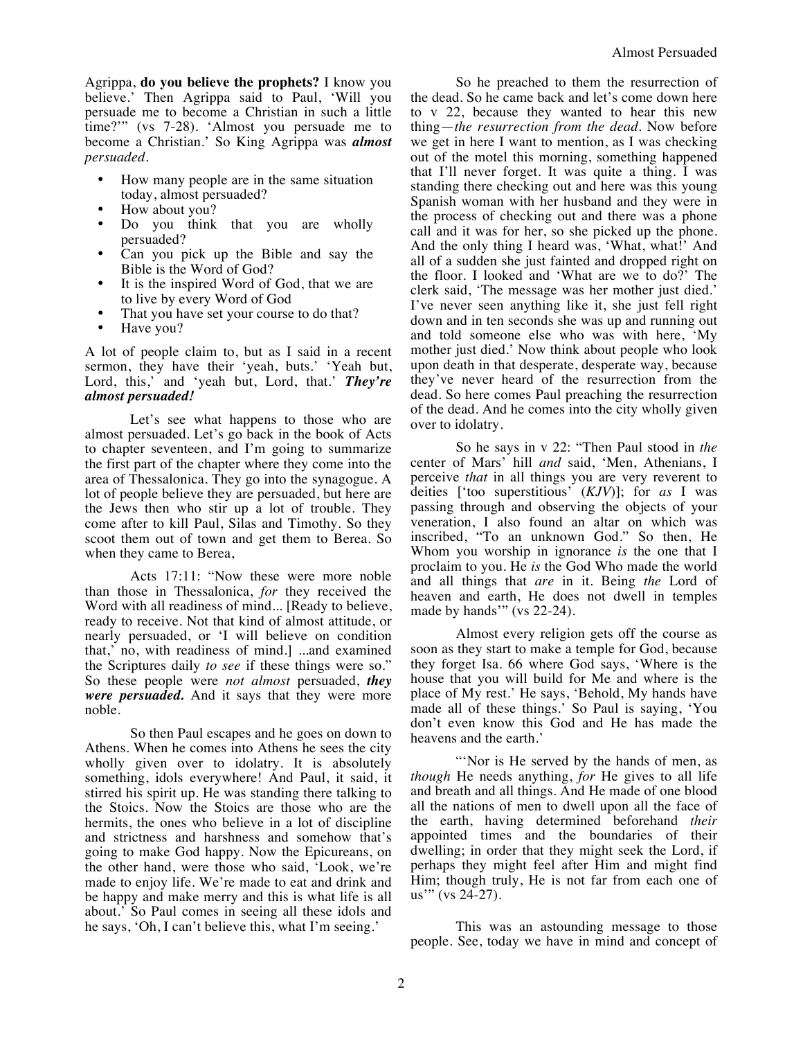Agrippa, **do you believe the prophets?** I know you believe.' Then Agrippa said to Paul, 'Will you persuade me to become a Christian in such a little time?'" (vs 7-28). 'Almost you persuade me to become a Christian.' So King Agrippa was *almost persuaded*.

- How many people are in the same situation today, almost persuaded?
- How about you?
- Do you think that you are wholly persuaded?
- Can you pick up the Bible and say the Bible is the Word of God?
- It is the inspired Word of God, that we are to live by every Word of God
- That you have set your course to do that?
- Have you?

A lot of people claim to, but as I said in a recent sermon, they have their 'yeah, buts.' 'Yeah but, Lord, this,' and 'yeah but, Lord, that.' *They're almost persuaded!*

Let's see what happens to those who are almost persuaded. Let's go back in the book of Acts to chapter seventeen, and I'm going to summarize the first part of the chapter where they come into the area of Thessalonica. They go into the synagogue. A lot of people believe they are persuaded, but here are the Jews then who stir up a lot of trouble. They come after to kill Paul, Silas and Timothy. So they scoot them out of town and get them to Berea. So when they came to Berea,

Acts 17:11: "Now these were more noble than those in Thessalonica, *for* they received the Word with all readiness of mind... [Ready to believe, ready to receive. Not that kind of almost attitude, or nearly persuaded, or 'I will believe on condition that,' no, with readiness of mind.] ...and examined the Scriptures daily *to see* if these things were so." So these people were *not almost* persuaded, *they were persuaded.* And it says that they were more noble.

So then Paul escapes and he goes on down to Athens. When he comes into Athens he sees the city wholly given over to idolatry. It is absolutely something, idols everywhere! And Paul, it said, it stirred his spirit up. He was standing there talking to the Stoics. Now the Stoics are those who are the hermits, the ones who believe in a lot of discipline and strictness and harshness and somehow that's going to make God happy. Now the Epicureans, on the other hand, were those who said, 'Look, we're made to enjoy life. We're made to eat and drink and be happy and make merry and this is what life is all about.' So Paul comes in seeing all these idols and he says, 'Oh, I can't believe this, what I'm seeing.'

So he preached to them the resurrection of the dead. So he came back and let's come down here to v 22, because they wanted to hear this new thing—*the resurrection from the dead.* Now before we get in here I want to mention, as I was checking out of the motel this morning, something happened that I'll never forget. It was quite a thing. I was standing there checking out and here was this young Spanish woman with her husband and they were in the process of checking out and there was a phone call and it was for her, so she picked up the phone. And the only thing I heard was, 'What, what!' And all of a sudden she just fainted and dropped right on the floor. I looked and 'What are we to do?' The clerk said, 'The message was her mother just died.' I've never seen anything like it, she just fell right down and in ten seconds she was up and running out and told someone else who was with here, 'My mother just died.' Now think about people who look upon death in that desperate, desperate way, because they've never heard of the resurrection from the dead. So here comes Paul preaching the resurrection of the dead. And he comes into the city wholly given over to idolatry.

So he says in v 22: "Then Paul stood in *the* center of Mars' hill *and* said, 'Men, Athenians, I perceive *that* in all things you are very reverent to deities ['too superstitious' (*KJV*)]; for *as* I was passing through and observing the objects of your veneration, I also found an altar on which was inscribed, "To an unknown God." So then, He Whom you worship in ignorance *is* the one that I proclaim to you. He *is* the God Who made the world and all things that *are* in it. Being *the* Lord of heaven and earth, He does not dwell in temples made by hands" (vs 22-24).

Almost every religion gets off the course as soon as they start to make a temple for God, because they forget Isa. 66 where God says, 'Where is the house that you will build for Me and where is the place of My rest.' He says, 'Behold, My hands have made all of these things.' So Paul is saying, 'You don't even know this God and He has made the heavens and the earth.'

"Nor is He served by the hands of men, as *though* He needs anything, *for* He gives to all life and breath and all things. And He made of one blood all the nations of men to dwell upon all the face of the earth, having determined beforehand *their* appointed times and the boundaries of their dwelling; in order that they might seek the Lord, if perhaps they might feel after Him and might find Him; though truly, He is not far from each one of us'" (vs 24-27).

This was an astounding message to those people. See, today we have in mind and concept of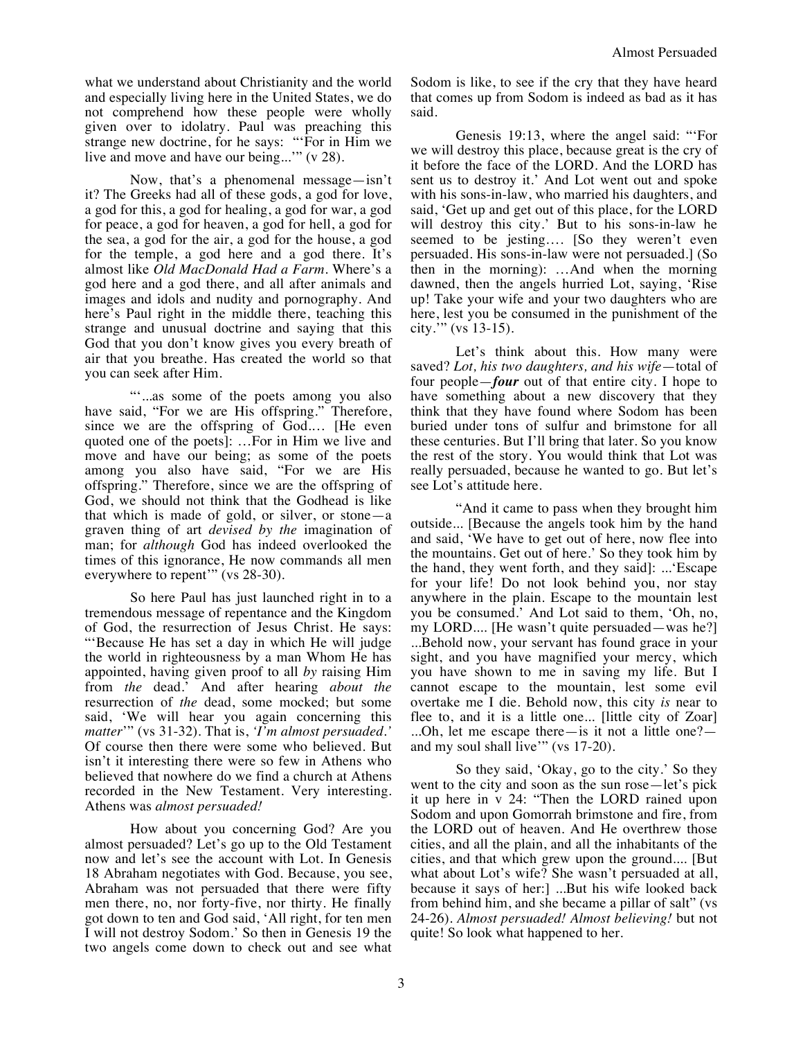what we understand about Christianity and the world and especially living here in the United States, we do not comprehend how these people were wholly given over to idolatry. Paul was preaching this strange new doctrine, for he says: "'For in Him we live and move and have our being...'" (v 28).

Now, that's a phenomenal message—isn't it? The Greeks had all of these gods, a god for love, a god for this, a god for healing, a god for war, a god for peace, a god for heaven, a god for hell, a god for the sea, a god for the air, a god for the house, a god for the temple, a god here and a god there. It's almost like *Old MacDonald Had a Farm*. Where's a god here and a god there, and all after animals and images and idols and nudity and pornography. And here's Paul right in the middle there, teaching this strange and unusual doctrine and saying that this God that you don't know gives you every breath of air that you breathe. Has created the world so that you can seek after Him.

""...as some of the poets among you also have said, "For we are His offspring." Therefore, since we are the offspring of God.… [He even quoted one of the poets]: …For in Him we live and move and have our being; as some of the poets among you also have said, "For we are His offspring." Therefore, since we are the offspring of God, we should not think that the Godhead is like that which is made of gold, or silver, or stone—a graven thing of art *devised by the* imagination of man; for *although* God has indeed overlooked the times of this ignorance, He now commands all men everywhere to repent'" (vs 28-30).

So here Paul has just launched right in to a tremendous message of repentance and the Kingdom of God, the resurrection of Jesus Christ. He says: "'Because He has set a day in which He will judge the world in righteousness by a man Whom He has appointed, having given proof to all *by* raising Him from *the* dead.' And after hearing *about the*  resurrection of *the* dead, some mocked; but some said, 'We will hear you again concerning this *matter*'" (vs 31-32). That is, *'I'm almost persuaded.'* Of course then there were some who believed. But isn't it interesting there were so few in Athens who believed that nowhere do we find a church at Athens recorded in the New Testament. Very interesting. Athens was *almost persuaded!*

How about you concerning God? Are you almost persuaded? Let's go up to the Old Testament now and let's see the account with Lot. In Genesis 18 Abraham negotiates with God. Because, you see, Abraham was not persuaded that there were fifty men there, no, nor forty-five, nor thirty. He finally got down to ten and God said, 'All right, for ten men I will not destroy Sodom.' So then in Genesis 19 the two angels come down to check out and see what

Sodom is like, to see if the cry that they have heard that comes up from Sodom is indeed as bad as it has said.

Genesis 19:13, where the angel said: "'For we will destroy this place, because great is the cry of it before the face of the LORD. And the LORD has sent us to destroy it.' And Lot went out and spoke with his sons-in-law, who married his daughters, and said, 'Get up and get out of this place, for the LORD will destroy this city.' But to his sons-in-law he seemed to be jesting…. [So they weren't even persuaded. His sons-in-law were not persuaded.] (So then in the morning): …And when the morning dawned, then the angels hurried Lot, saying, 'Rise up! Take your wife and your two daughters who are here, lest you be consumed in the punishment of the city.'" (vs 13-15).

Let's think about this. How many were saved? *Lot, his two daughters, and his wife*—total of four people—*four* out of that entire city. I hope to have something about a new discovery that they think that they have found where Sodom has been buried under tons of sulfur and brimstone for all these centuries. But I'll bring that later. So you know the rest of the story. You would think that Lot was really persuaded, because he wanted to go. But let's see Lot's attitude here.

"And it came to pass when they brought him outside... [Because the angels took him by the hand and said, 'We have to get out of here, now flee into the mountains. Get out of here.' So they took him by the hand, they went forth, and they said]: ...'Escape for your life! Do not look behind you, nor stay anywhere in the plain. Escape to the mountain lest you be consumed.' And Lot said to them, 'Oh, no, my LORD.... [He wasn't quite persuaded—was he?] ...Behold now, your servant has found grace in your sight, and you have magnified your mercy, which you have shown to me in saving my life. But I cannot escape to the mountain, lest some evil overtake me I die. Behold now, this city *is* near to flee to, and it is a little one... [little city of Zoar] ...Oh, let me escape there—is it not a little one? and my soul shall live" (vs 17-20).

So they said, 'Okay, go to the city.' So they went to the city and soon as the sun rose—let's pick it up here in v 24: "Then the LORD rained upon Sodom and upon Gomorrah brimstone and fire, from the LORD out of heaven. And He overthrew those cities, and all the plain, and all the inhabitants of the cities, and that which grew upon the ground.... [But what about Lot's wife? She wasn't persuaded at all, because it says of her:] ...But his wife looked back from behind him, and she became a pillar of salt" (vs 24-26). *Almost persuaded! Almost believing!* but not quite! So look what happened to her.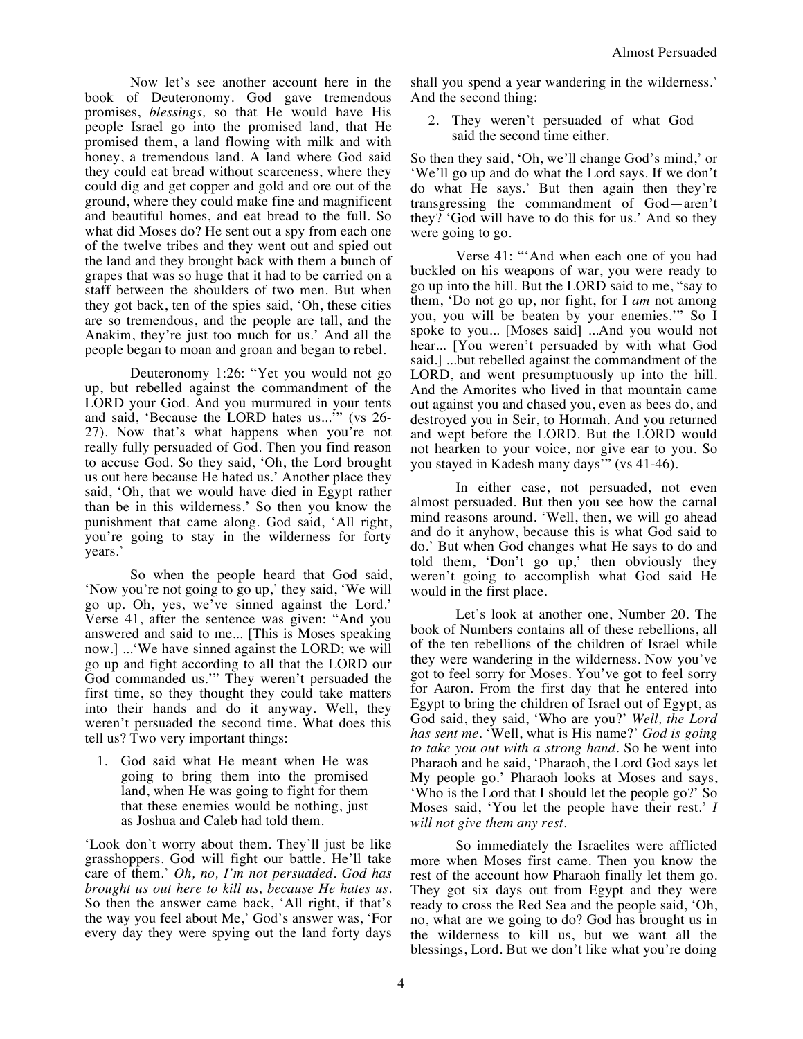Now let's see another account here in the book of Deuteronomy. God gave tremendous promises, *blessings,* so that He would have His people Israel go into the promised land, that He promised them, a land flowing with milk and with honey, a tremendous land. A land where God said they could eat bread without scarceness, where they could dig and get copper and gold and ore out of the ground, where they could make fine and magnificent and beautiful homes, and eat bread to the full. So what did Moses do? He sent out a spy from each one of the twelve tribes and they went out and spied out the land and they brought back with them a bunch of grapes that was so huge that it had to be carried on a staff between the shoulders of two men. But when they got back, ten of the spies said, 'Oh, these cities are so tremendous, and the people are tall, and the Anakim, they're just too much for us.' And all the people began to moan and groan and began to rebel.

Deuteronomy 1:26: "Yet you would not go up, but rebelled against the commandment of the LORD your God. And you murmured in your tents and said, 'Because the LORD hates us...'" (vs 26- 27). Now that's what happens when you're not really fully persuaded of God. Then you find reason to accuse God. So they said, 'Oh, the Lord brought us out here because He hated us.' Another place they said, 'Oh, that we would have died in Egypt rather than be in this wilderness.' So then you know the punishment that came along. God said, 'All right, you're going to stay in the wilderness for forty years.'

So when the people heard that God said, 'Now you're not going to go up,' they said, 'We will go up. Oh, yes, we've sinned against the Lord.' Verse 41, after the sentence was given: "And you answered and said to me... [This is Moses speaking now.] ...'We have sinned against the LORD; we will go up and fight according to all that the LORD our God commanded us.'" They weren't persuaded the first time, so they thought they could take matters into their hands and do it anyway. Well, they weren't persuaded the second time. What does this tell us? Two very important things:

1. God said what He meant when He was going to bring them into the promised land, when He was going to fight for them that these enemies would be nothing, just as Joshua and Caleb had told them.

'Look don't worry about them. They'll just be like grasshoppers. God will fight our battle. He'll take care of them.' *Oh, no, I'm not persuaded. God has brought us out here to kill us, because He hates us.* So then the answer came back, 'All right, if that's the way you feel about Me,' God's answer was, 'For every day they were spying out the land forty days shall you spend a year wandering in the wilderness.' And the second thing:

2. They weren't persuaded of what God said the second time either.

So then they said, 'Oh, we'll change God's mind,' or 'We'll go up and do what the Lord says. If we don't do what He says.' But then again then they're transgressing the commandment of God—aren't they? 'God will have to do this for us.' And so they were going to go.

Verse 41: "'And when each one of you had buckled on his weapons of war, you were ready to go up into the hill. But the LORD said to me, "say to them, 'Do not go up, nor fight, for I *am* not among you, you will be beaten by your enemies.'" So I spoke to you... [Moses said] ...And you would not hear... [You weren't persuaded by with what God said.] ...but rebelled against the commandment of the LORD, and went presumptuously up into the hill. And the Amorites who lived in that mountain came out against you and chased you, even as bees do, and destroyed you in Seir, to Hormah. And you returned and wept before the LORD. But the LORD would not hearken to your voice, nor give ear to you. So you stayed in Kadesh many days'" (vs 41-46).

In either case, not persuaded, not even almost persuaded. But then you see how the carnal mind reasons around. 'Well, then, we will go ahead and do it anyhow, because this is what God said to do.' But when God changes what He says to do and told them, 'Don't go up,' then obviously they weren't going to accomplish what God said He would in the first place.

Let's look at another one, Number 20. The book of Numbers contains all of these rebellions, all of the ten rebellions of the children of Israel while they were wandering in the wilderness. Now you've got to feel sorry for Moses. You've got to feel sorry for Aaron. From the first day that he entered into Egypt to bring the children of Israel out of Egypt, as God said, they said, 'Who are you?' *Well, the Lord has sent me.* 'Well, what is His name?' *God is going to take you out with a strong hand.* So he went into Pharaoh and he said, 'Pharaoh, the Lord God says let My people go.' Pharaoh looks at Moses and says, 'Who is the Lord that I should let the people go?' So Moses said, 'You let the people have their rest.' *I will not give them any rest.*

So immediately the Israelites were afflicted more when Moses first came. Then you know the rest of the account how Pharaoh finally let them go. They got six days out from Egypt and they were ready to cross the Red Sea and the people said, 'Oh, no, what are we going to do? God has brought us in the wilderness to kill us, but we want all the blessings, Lord. But we don't like what you're doing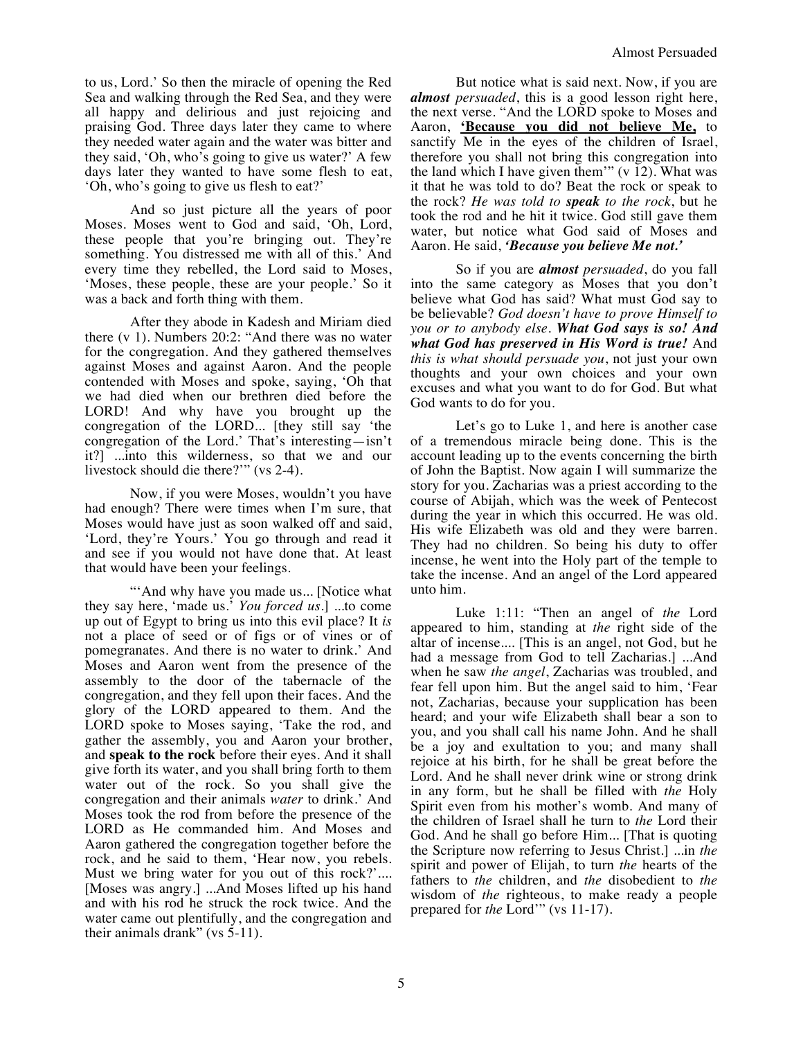to us, Lord.' So then the miracle of opening the Red Sea and walking through the Red Sea, and they were all happy and delirious and just rejoicing and praising God. Three days later they came to where they needed water again and the water was bitter and they said, 'Oh, who's going to give us water?' A few days later they wanted to have some flesh to eat, 'Oh, who's going to give us flesh to eat?'

And so just picture all the years of poor Moses. Moses went to God and said, 'Oh, Lord, these people that you're bringing out. They're something. You distressed me with all of this.' And every time they rebelled, the Lord said to Moses, 'Moses, these people, these are your people.' So it was a back and forth thing with them.

After they abode in Kadesh and Miriam died there (v 1). Numbers 20:2: "And there was no water for the congregation. And they gathered themselves against Moses and against Aaron. And the people contended with Moses and spoke, saying, 'Oh that we had died when our brethren died before the LORD! And why have you brought up the congregation of the LORD... [they still say 'the congregation of the Lord.' That's interesting—isn't it?] ...into this wilderness, so that we and our livestock should die there?'" (vs 2-4).

Now, if you were Moses, wouldn't you have had enough? There were times when I'm sure, that Moses would have just as soon walked off and said, 'Lord, they're Yours.' You go through and read it and see if you would not have done that. At least that would have been your feelings.

"'And why have you made us... [Notice what they say here, 'made us.' *You forced us.*] ...to come up out of Egypt to bring us into this evil place? It *is*  not a place of seed or of figs or of vines or of pomegranates. And there is no water to drink.' And Moses and Aaron went from the presence of the assembly to the door of the tabernacle of the congregation, and they fell upon their faces. And the glory of the LORD appeared to them. And the LORD spoke to Moses saying, 'Take the rod, and gather the assembly, you and Aaron your brother, and **speak to the rock** before their eyes. And it shall give forth its water, and you shall bring forth to them water out of the rock. So you shall give the congregation and their animals *water* to drink.' And Moses took the rod from before the presence of the LORD as He commanded him. And Moses and Aaron gathered the congregation together before the rock, and he said to them, 'Hear now, you rebels. Must we bring water for you out of this rock?'.... [Moses was angry.] ...And Moses lifted up his hand and with his rod he struck the rock twice. And the water came out plentifully, and the congregation and their animals drank" (vs  $\bar{5}$ -11).

But notice what is said next. Now, if you are *almost persuaded*, this is a good lesson right here, the next verse. "And the LORD spoke to Moses and Aaron, **'Because you did not believe Me,** to sanctify Me in the eyes of the children of Israel, therefore you shall not bring this congregation into the land which I have given them'"  $(v 12)$ . What was it that he was told to do? Beat the rock or speak to the rock? *He was told to speak to the rock*, but he took the rod and he hit it twice. God still gave them water, but notice what God said of Moses and Aaron. He said, *'Because you believe Me not.'*

So if you are *almost persuaded*, do you fall into the same category as Moses that you don't believe what God has said? What must God say to be believable? *God doesn't have to prove Himself to you or to anybody else*. *What God says is so! And what God has preserved in His Word is true!* And *this is what should persuade you*, not just your own thoughts and your own choices and your own excuses and what you want to do for God. But what God wants to do for you.

Let's go to Luke 1, and here is another case of a tremendous miracle being done. This is the account leading up to the events concerning the birth of John the Baptist. Now again I will summarize the story for you. Zacharias was a priest according to the course of Abijah, which was the week of Pentecost during the year in which this occurred. He was old. His wife Elizabeth was old and they were barren. They had no children. So being his duty to offer incense, he went into the Holy part of the temple to take the incense. And an angel of the Lord appeared unto him.

Luke 1:11: "Then an angel of *the* Lord appeared to him, standing at *the* right side of the altar of incense.... [This is an angel, not God, but he had a message from God to tell Zacharias.] ...And when he saw *the angel*, Zacharias was troubled, and fear fell upon him. But the angel said to him, 'Fear not, Zacharias, because your supplication has been heard; and your wife Elizabeth shall bear a son to you, and you shall call his name John. And he shall be a joy and exultation to you; and many shall rejoice at his birth, for he shall be great before the Lord. And he shall never drink wine or strong drink in any form, but he shall be filled with *the* Holy Spirit even from his mother's womb. And many of the children of Israel shall he turn to *the* Lord their God. And he shall go before Him... [That is quoting the Scripture now referring to Jesus Christ.] ...in *the*  spirit and power of Elijah, to turn *the* hearts of the fathers to *the* children, and *the* disobedient to *the*  wisdom of *the* righteous, to make ready a people prepared for *the* Lord'" (vs 11-17).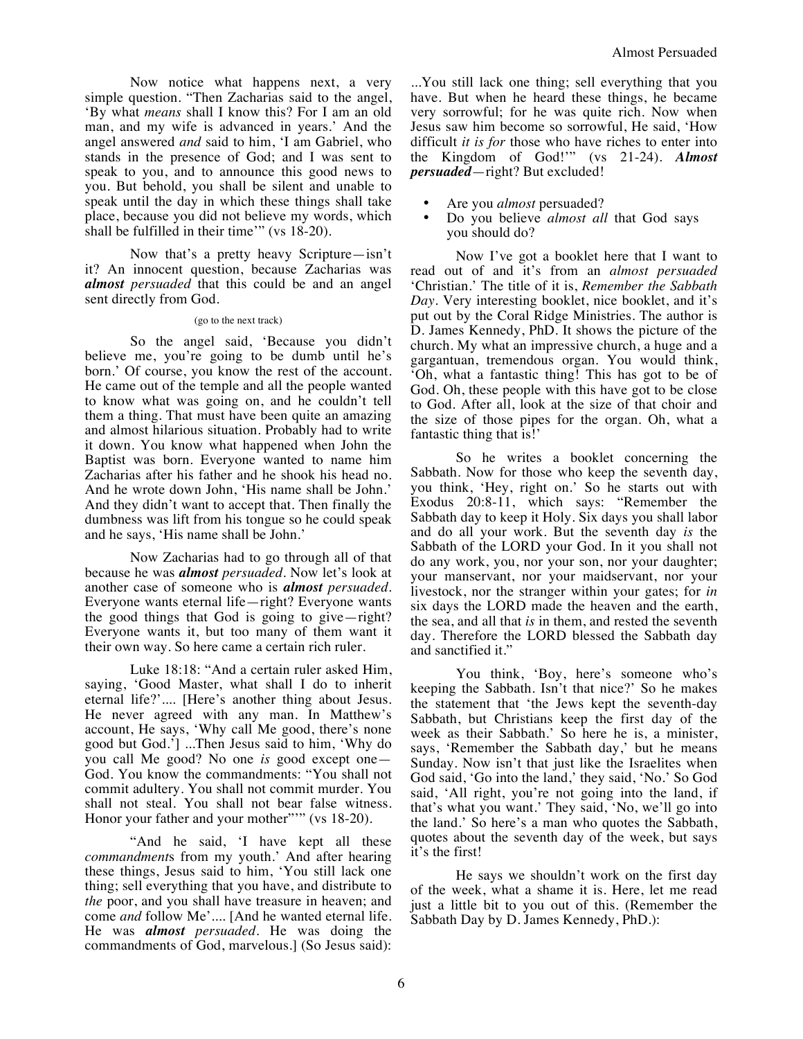Now notice what happens next, a very simple question. "Then Zacharias said to the angel, 'By what *means* shall I know this? For I am an old man, and my wife is advanced in years.' And the angel answered *and* said to him, 'I am Gabriel, who stands in the presence of God; and I was sent to speak to you, and to announce this good news to you. But behold, you shall be silent and unable to speak until the day in which these things shall take place, because you did not believe my words, which shall be fulfilled in their time'" (vs 18-20).

Now that's a pretty heavy Scripture—isn't it? An innocent question, because Zacharias was *almost persuaded* that this could be and an angel sent directly from God.

## (go to the next track)

So the angel said, 'Because you didn't believe me, you're going to be dumb until he's born.' Of course, you know the rest of the account. He came out of the temple and all the people wanted to know what was going on, and he couldn't tell them a thing. That must have been quite an amazing and almost hilarious situation. Probably had to write it down. You know what happened when John the Baptist was born. Everyone wanted to name him Zacharias after his father and he shook his head no. And he wrote down John, 'His name shall be John.' And they didn't want to accept that. Then finally the dumbness was lift from his tongue so he could speak and he says, 'His name shall be John.'

Now Zacharias had to go through all of that because he was *almost persuaded*. Now let's look at another case of someone who is *almost persuaded*. Everyone wants eternal life—right? Everyone wants the good things that God is going to give—right? Everyone wants it, but too many of them want it their own way. So here came a certain rich ruler.

Luke 18:18: "And a certain ruler asked Him, saying, 'Good Master, what shall I do to inherit eternal life?'.... [Here's another thing about Jesus. He never agreed with any man. In Matthew's account, He says, 'Why call Me good, there's none good but God.'] ...Then Jesus said to him, 'Why do you call Me good? No one *is* good except one— God. You know the commandments: "You shall not commit adultery. You shall not commit murder. You shall not steal. You shall not bear false witness. Honor your father and your mother"" (vs 18-20).

"And he said, 'I have kept all these *commandment*s from my youth.' And after hearing these things, Jesus said to him, 'You still lack one thing; sell everything that you have, and distribute to *the* poor, and you shall have treasure in heaven; and come *and* follow Me'.... [And he wanted eternal life. He was *almost persuaded*. He was doing the commandments of God, marvelous.] (So Jesus said):

...You still lack one thing; sell everything that you have. But when he heard these things, he became very sorrowful; for he was quite rich. Now when Jesus saw him become so sorrowful, He said, 'How difficult *it is for* those who have riches to enter into the Kingdom of God!'" (vs 21-24). *Almost persuaded*—right? But excluded!

- Are you *almost* persuaded?
- Do you believe *almost all* that God says you should do?

Now I've got a booklet here that I want to read out of and it's from an *almost persuaded* 'Christian.' The title of it is, *Remember the Sabbath Day*. Very interesting booklet, nice booklet, and it's put out by the Coral Ridge Ministries. The author is D. James Kennedy, PhD. It shows the picture of the church. My what an impressive church, a huge and a gargantuan, tremendous organ. You would think, 'Oh, what a fantastic thing! This has got to be of God. Oh, these people with this have got to be close to God. After all, look at the size of that choir and the size of those pipes for the organ. Oh, what a fantastic thing that is!'

So he writes a booklet concerning the Sabbath. Now for those who keep the seventh day, you think, 'Hey, right on.' So he starts out with Exodus 20:8-11, which says: "Remember the Sabbath day to keep it Holy. Six days you shall labor and do all your work. But the seventh day *is* the Sabbath of the LORD your God. In it you shall not do any work, you, nor your son, nor your daughter; your manservant, nor your maidservant, nor your livestock, nor the stranger within your gates; for *in* six days the LORD made the heaven and the earth, the sea, and all that *is* in them, and rested the seventh day. Therefore the LORD blessed the Sabbath day and sanctified it."

You think, 'Boy, here's someone who's keeping the Sabbath. Isn't that nice?' So he makes the statement that 'the Jews kept the seventh-day Sabbath, but Christians keep the first day of the week as their Sabbath.' So here he is, a minister, says, 'Remember the Sabbath day,' but he means Sunday. Now isn't that just like the Israelites when God said, 'Go into the land,' they said, 'No.' So God said, 'All right, you're not going into the land, if that's what you want.' They said, 'No, we'll go into the land.' So here's a man who quotes the Sabbath, quotes about the seventh day of the week, but says it's the first!

He says we shouldn't work on the first day of the week, what a shame it is. Here, let me read just a little bit to you out of this. (Remember the Sabbath Day by D. James Kennedy, PhD.):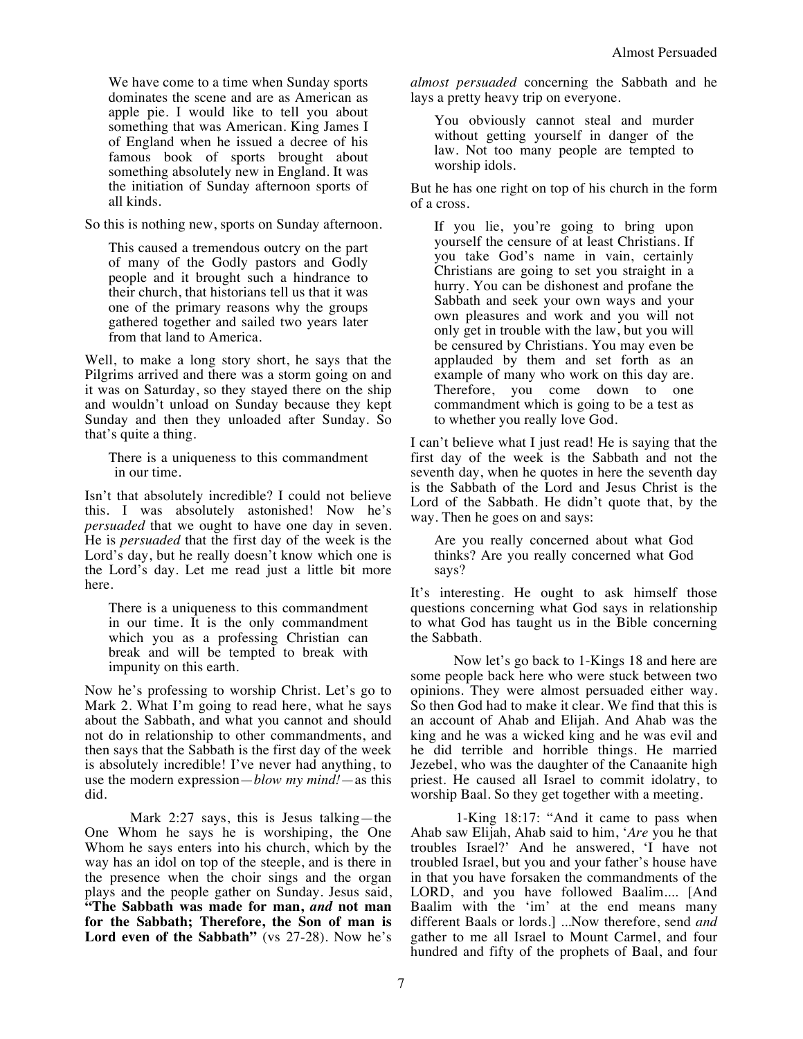We have come to a time when Sunday sports dominates the scene and are as American as apple pie. I would like to tell you about something that was American. King James I of England when he issued a decree of his famous book of sports brought about something absolutely new in England. It was the initiation of Sunday afternoon sports of all kinds.

So this is nothing new, sports on Sunday afternoon.

This caused a tremendous outcry on the part of many of the Godly pastors and Godly people and it brought such a hindrance to their church, that historians tell us that it was one of the primary reasons why the groups gathered together and sailed two years later from that land to America.

Well, to make a long story short, he says that the Pilgrims arrived and there was a storm going on and it was on Saturday, so they stayed there on the ship and wouldn't unload on Sunday because they kept Sunday and then they unloaded after Sunday. So that's quite a thing.

There is a uniqueness to this commandment in our time.

Isn't that absolutely incredible? I could not believe this. I was absolutely astonished! Now he's *persuaded* that we ought to have one day in seven. He is *persuaded* that the first day of the week is the Lord's day, but he really doesn't know which one is the Lord's day. Let me read just a little bit more here.

There is a uniqueness to this commandment in our time. It is the only commandment which you as a professing Christian can break and will be tempted to break with impunity on this earth.

Now he's professing to worship Christ. Let's go to Mark 2. What I'm going to read here, what he says about the Sabbath, and what you cannot and should not do in relationship to other commandments, and then says that the Sabbath is the first day of the week is absolutely incredible! I've never had anything, to use the modern expression—*blow my mind!*—as this did.

Mark 2:27 says, this is Jesus talking—the One Whom he says he is worshiping, the One Whom he says enters into his church, which by the way has an idol on top of the steeple, and is there in the presence when the choir sings and the organ plays and the people gather on Sunday. Jesus said, **"The Sabbath was made for man,** *and* **not man for the Sabbath; Therefore, the Son of man is**  Lord even of the Sabbath" (vs 27-28). Now he's *almost persuaded* concerning the Sabbath and he lays a pretty heavy trip on everyone.

You obviously cannot steal and murder without getting yourself in danger of the law. Not too many people are tempted to worship idols.

But he has one right on top of his church in the form of a cross.

If you lie, you're going to bring upon yourself the censure of at least Christians. If you take God's name in vain, certainly Christians are going to set you straight in a hurry. You can be dishonest and profane the Sabbath and seek your own ways and your own pleasures and work and you will not only get in trouble with the law, but you will be censured by Christians. You may even be applauded by them and set forth as an example of many who work on this day are. Therefore, you come down to one commandment which is going to be a test as to whether you really love God.

I can't believe what I just read! He is saying that the first day of the week is the Sabbath and not the seventh day, when he quotes in here the seventh day is the Sabbath of the Lord and Jesus Christ is the Lord of the Sabbath. He didn't quote that, by the way. Then he goes on and says:

Are you really concerned about what God thinks? Are you really concerned what God says?

It's interesting. He ought to ask himself those questions concerning what God says in relationship to what God has taught us in the Bible concerning the Sabbath.

Now let's go back to 1-Kings 18 and here are some people back here who were stuck between two opinions. They were almost persuaded either way. So then God had to make it clear. We find that this is an account of Ahab and Elijah. And Ahab was the king and he was a wicked king and he was evil and he did terrible and horrible things. He married Jezebel, who was the daughter of the Canaanite high priest. He caused all Israel to commit idolatry, to worship Baal. So they get together with a meeting.

1-King 18:17: "And it came to pass when Ahab saw Elijah, Ahab said to him, '*Are* you he that troubles Israel?' And he answered, 'I have not troubled Israel, but you and your father's house have in that you have forsaken the commandments of the LORD, and you have followed Baalim.... [And Baalim with the 'im' at the end means many different Baals or lords.] ...Now therefore, send *and* gather to me all Israel to Mount Carmel, and four hundred and fifty of the prophets of Baal, and four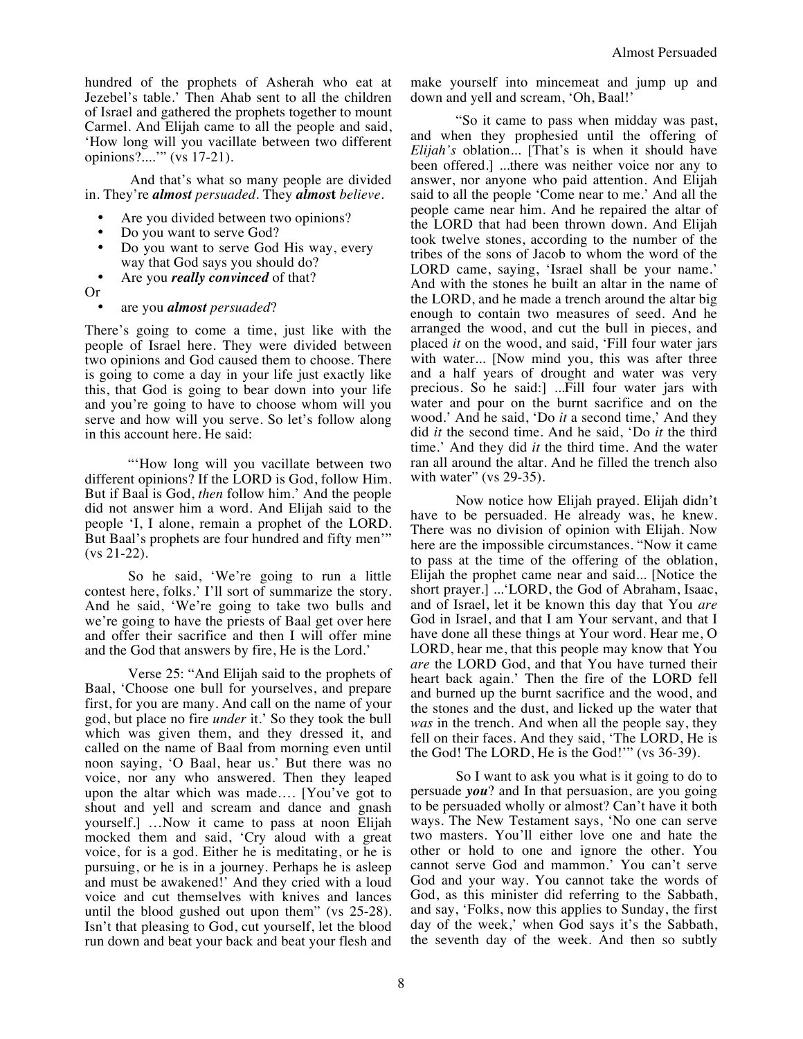hundred of the prophets of Asherah who eat at Jezebel's table.' Then Ahab sent to all the children of Israel and gathered the prophets together to mount Carmel. And Elijah came to all the people and said, 'How long will you vacillate between two different opinions?....'" (vs 17-21).

And that's what so many people are divided in. They're *almost persuaded*. They *almos***t** *believe*.

- Are you divided between two opinions?
- Do you want to serve God?
- Do you want to serve God His way, every way that God says you should do?
- Are you *really convinced* of that?
- Or

## • are you *almost persuaded*?

There's going to come a time, just like with the people of Israel here. They were divided between two opinions and God caused them to choose. There is going to come a day in your life just exactly like this, that God is going to bear down into your life and you're going to have to choose whom will you serve and how will you serve. So let's follow along in this account here. He said:

"'How long will you vacillate between two different opinions? If the LORD is God, follow Him. But if Baal is God, *then* follow him.' And the people did not answer him a word. And Elijah said to the people 'I, I alone, remain a prophet of the LORD. But Baal's prophets are four hundred and fifty men'" (vs 21-22).

So he said, 'We're going to run a little contest here, folks.' I'll sort of summarize the story. And he said, 'We're going to take two bulls and we're going to have the priests of Baal get over here and offer their sacrifice and then I will offer mine and the God that answers by fire, He is the Lord.'

Verse 25: "And Elijah said to the prophets of Baal, 'Choose one bull for yourselves, and prepare first, for you are many. And call on the name of your god, but place no fire *under* it.' So they took the bull which was given them, and they dressed it, and called on the name of Baal from morning even until noon saying, 'O Baal, hear us.' But there was no voice, nor any who answered. Then they leaped upon the altar which was made…. [You've got to shout and yell and scream and dance and gnash yourself.] …Now it came to pass at noon Elijah mocked them and said, 'Cry aloud with a great voice, for is a god. Either he is meditating, or he is pursuing, or he is in a journey. Perhaps he is asleep and must be awakened!' And they cried with a loud voice and cut themselves with knives and lances until the blood gushed out upon them" (vs 25-28). Isn't that pleasing to God, cut yourself, let the blood run down and beat your back and beat your flesh and

make yourself into mincemeat and jump up and down and yell and scream, 'Oh, Baal!'

"So it came to pass when midday was past, and when they prophesied until the offering of *Elijah's* oblation... [That's is when it should have been offered.] ...there was neither voice nor any to answer, nor anyone who paid attention. And Elijah said to all the people 'Come near to me.' And all the people came near him. And he repaired the altar of the LORD that had been thrown down. And Elijah took twelve stones, according to the number of the tribes of the sons of Jacob to whom the word of the LORD came, saying, 'Israel shall be your name.' And with the stones he built an altar in the name of the LORD, and he made a trench around the altar big enough to contain two measures of seed. And he arranged the wood, and cut the bull in pieces, and placed *it* on the wood, and said, 'Fill four water jars with water... [Now mind you, this was after three and a half years of drought and water was very precious. So he said:] ...Fill four water jars with water and pour on the burnt sacrifice and on the wood.' And he said, 'Do *it* a second time,' And they did *it* the second time. And he said, 'Do *it* the third time.' And they did *it* the third time. And the water ran all around the altar. And he filled the trench also with water" (vs  $29-35$ ).

Now notice how Elijah prayed. Elijah didn't have to be persuaded. He already was, he knew. There was no division of opinion with Elijah. Now here are the impossible circumstances. "Now it came to pass at the time of the offering of the oblation, Elijah the prophet came near and said... [Notice the short prayer.] ...'LORD, the God of Abraham, Isaac, and of Israel, let it be known this day that You *are*  God in Israel, and that I am Your servant, and that I have done all these things at Your word. Hear me, O LORD, hear me, that this people may know that You *are* the LORD God, and that You have turned their heart back again.' Then the fire of the LORD fell and burned up the burnt sacrifice and the wood, and the stones and the dust, and licked up the water that *was* in the trench. And when all the people say, they fell on their faces. And they said, 'The LORD, He is the God! The LORD, He is the God!'" (vs 36-39).

So I want to ask you what is it going to do to persuade *you*? and In that persuasion, are you going to be persuaded wholly or almost? Can't have it both ways. The New Testament says, 'No one can serve two masters. You'll either love one and hate the other or hold to one and ignore the other. You cannot serve God and mammon.' You can't serve God and your way. You cannot take the words of God, as this minister did referring to the Sabbath, and say, 'Folks, now this applies to Sunday, the first day of the week,' when God says it's the Sabbath, the seventh day of the week. And then so subtly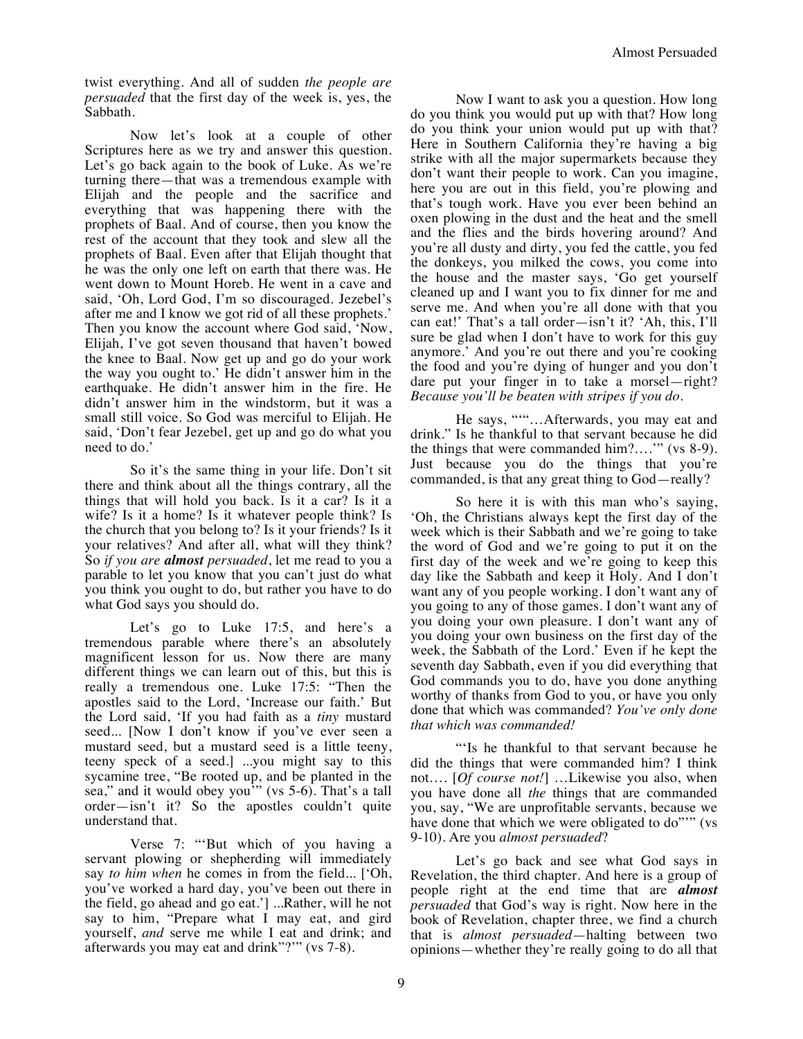twist everything. And all of sudden *the people are persuaded* that the first day of the week is, yes, the Sabbath.

Now let's look at a couple of other Scriptures here as we try and answer this question. Let's go back again to the book of Luke. As we're turning there—that was a tremendous example with Elijah and the people and the sacrifice and everything that was happening there with the prophets of Baal. And of course, then you know the rest of the account that they took and slew all the prophets of Baal. Even after that Elijah thought that he was the only one left on earth that there was. He went down to Mount Horeb. He went in a cave and said, 'Oh, Lord God, I'm so discouraged. Jezebel's after me and I know we got rid of all these prophets.' Then you know the account where God said, 'Now, Elijah, I've got seven thousand that haven't bowed the knee to Baal. Now get up and go do your work the way you ought to.' He didn't answer him in the earthquake. He didn't answer him in the fire. He didn't answer him in the windstorm, but it was a small still voice. So God was merciful to Elijah. He said, 'Don't fear Jezebel, get up and go do what you need to do.'

So it's the same thing in your life. Don't sit there and think about all the things contrary, all the things that will hold you back. Is it a car? Is it a wife? Is it a home? Is it whatever people think? Is the church that you belong to? Is it your friends? Is it your relatives? And after all, what will they think? So *if you are almost persuaded*, let me read to you a parable to let you know that you can't just do what you think you ought to do, but rather you have to do what God says you should do.

Let's go to Luke 17:5, and here's a tremendous parable where there's an absolutely magnificent lesson for us. Now there are many different things we can learn out of this, but this is really a tremendous one. Luke 17:5: "Then the apostles said to the Lord, 'Increase our faith.' But the Lord said, 'If you had faith as a *tiny* mustard seed... [Now I don't know if you've ever seen a mustard seed, but a mustard seed is a little teeny, teeny speck of a seed.] ...you might say to this sycamine tree, "Be rooted up, and be planted in the sea," and it would obey you'" (vs 5-6). That's a tall order—isn't it? So the apostles couldn't quite understand that.

Verse 7: "'But which of you having a servant plowing or shepherding will immediately say *to him when* he comes in from the field... ['Oh, you've worked a hard day, you've been out there in the field, go ahead and go eat.'] ...Rather, will he not say to him, "Prepare what I may eat, and gird yourself, *and* serve me while I eat and drink; and afterwards you may eat and drink"?'" (vs 7-8).

Now I want to ask you a question. How long do you think you would put up with that? How long do you think your union would put up with that? Here in Southern California they're having a big strike with all the major supermarkets because they don't want their people to work. Can you imagine, here you are out in this field, you're plowing and that's tough work. Have you ever been behind an oxen plowing in the dust and the heat and the smell and the flies and the birds hovering around? And you're all dusty and dirty, you fed the cattle, you fed the donkeys, you milked the cows, you come into the house and the master says, 'Go get yourself cleaned up and I want you to fix dinner for me and serve me. And when you're all done with that you can eat!' That's a tall order—isn't it? 'Ah, this, I'll sure be glad when I don't have to work for this guy anymore.' And you're out there and you're cooking the food and you're dying of hunger and you don't dare put your finger in to take a morsel—right? *Because you'll be beaten with stripes if you do.*

He says, """...Afterwards, you may eat and drink." Is he thankful to that servant because he did the things that were commanded him?….'" (vs 8-9). Just because you do the things that you're commanded, is that any great thing to God—really?

So here it is with this man who's saying, 'Oh, the Christians always kept the first day of the week which is their Sabbath and we're going to take the word of God and we're going to put it on the first day of the week and we're going to keep this day like the Sabbath and keep it Holy. And I don't want any of you people working. I don't want any of you going to any of those games. I don't want any of you doing your own pleasure. I don't want any of you doing your own business on the first day of the week, the Sabbath of the Lord.' Even if he kept the seventh day Sabbath, even if you did everything that God commands you to do, have you done anything worthy of thanks from God to you, or have you only done that which was commanded? *You've only done that which was commanded!*

"'Is he thankful to that servant because he did the things that were commanded him? I think not…. [*Of course not!*] …Likewise you also, when you have done all *the* things that are commanded you, say, "We are unprofitable servants, because we have done that which we were obligated to do""" (vs 9-10). Are you *almost persuaded*?

Let's go back and see what God says in Revelation, the third chapter. And here is a group of people right at the end time that are *almost persuaded* that God's way is right. Now here in the book of Revelation, chapter three, we find a church that is *almost persuaded*—halting between two opinions—whether they're really going to do all that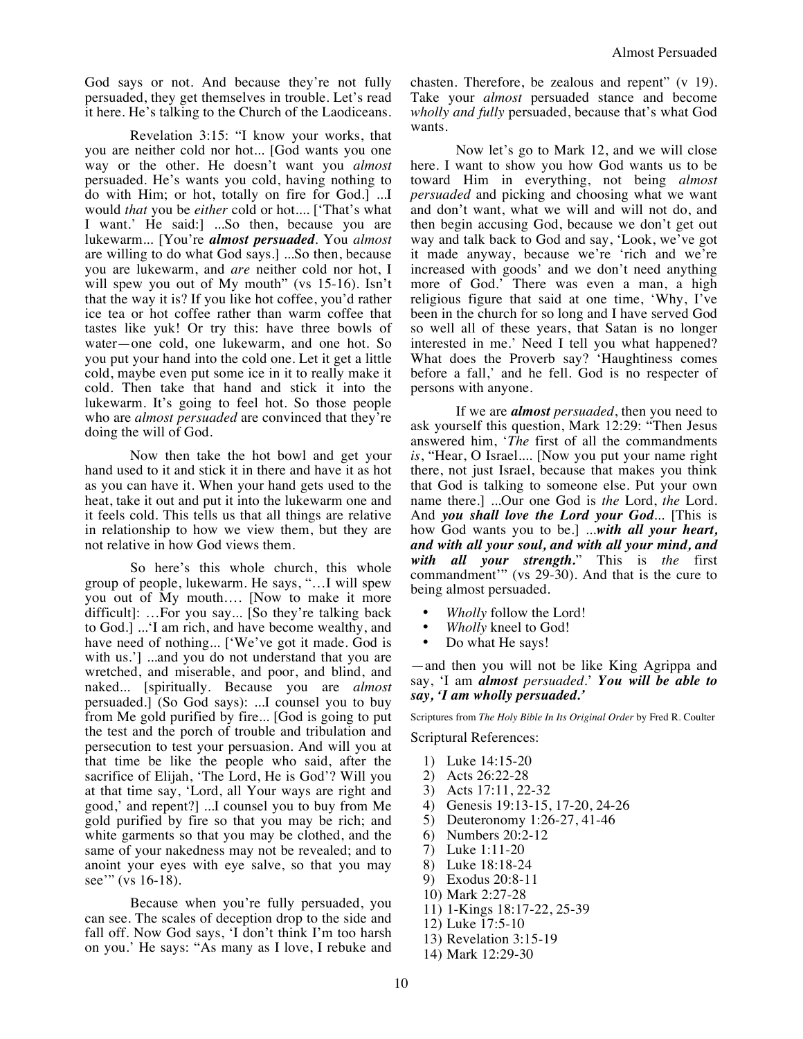God says or not. And because they're not fully persuaded, they get themselves in trouble. Let's read it here. He's talking to the Church of the Laodiceans.

Revelation 3:15: "I know your works, that you are neither cold nor hot... [God wants you one way or the other. He doesn't want you *almost* persuaded. He's wants you cold, having nothing to do with Him; or hot, totally on fire for God.] ...I would *that* you be *either* cold or hot.... ['That's what I want.' He said:] ...So then, because you are lukewarm... [You're *almost persuaded*. You *almost* are willing to do what God says.] ...So then, because you are lukewarm, and *are* neither cold nor hot, I will spew you out of My mouth" (vs 15-16). Isn't that the way it is? If you like hot coffee, you'd rather ice tea or hot coffee rather than warm coffee that tastes like yuk! Or try this: have three bowls of water—one cold, one lukewarm, and one hot. So you put your hand into the cold one. Let it get a little cold, maybe even put some ice in it to really make it cold. Then take that hand and stick it into the lukewarm. It's going to feel hot. So those people who are *almost persuaded* are convinced that they're doing the will of God.

Now then take the hot bowl and get your hand used to it and stick it in there and have it as hot as you can have it. When your hand gets used to the heat, take it out and put it into the lukewarm one and it feels cold. This tells us that all things are relative in relationship to how we view them, but they are not relative in how God views them.

So here's this whole church, this whole group of people, lukewarm. He says, "…I will spew you out of My mouth…. [Now to make it more difficult]: …For you say... [So they're talking back to God.] ...'I am rich, and have become wealthy, and have need of nothing... ['We've got it made. God is with us.'] ...and you do not understand that you are wretched, and miserable, and poor, and blind, and naked... [spiritually. Because you are *almost* persuaded.] (So God says): ...I counsel you to buy from Me gold purified by fire... [God is going to put the test and the porch of trouble and tribulation and persecution to test your persuasion. And will you at that time be like the people who said, after the sacrifice of Elijah, 'The Lord, He is God'? Will you at that time say, 'Lord, all Your ways are right and good,' and repent?] ...I counsel you to buy from Me gold purified by fire so that you may be rich; and white garments so that you may be clothed, and the same of your nakedness may not be revealed; and to anoint your eyes with eye salve, so that you may see" (vs 16-18).

Because when you're fully persuaded, you can see. The scales of deception drop to the side and fall off. Now God says, 'I don't think I'm too harsh on you.' He says: "As many as I love, I rebuke and

chasten. Therefore, be zealous and repent" (v 19). Take your *almost* persuaded stance and become *wholly and fully* persuaded, because that's what God wants.

Now let's go to Mark 12, and we will close here. I want to show you how God wants us to be toward Him in everything, not being *almost persuaded* and picking and choosing what we want and don't want, what we will and will not do, and then begin accusing God, because we don't get out way and talk back to God and say, 'Look, we've got it made anyway, because we're 'rich and we're increased with goods' and we don't need anything more of God.' There was even a man, a high religious figure that said at one time, 'Why, I've been in the church for so long and I have served God so well all of these years, that Satan is no longer interested in me.' Need I tell you what happened? What does the Proverb say? 'Haughtiness comes before a fall,' and he fell. God is no respecter of persons with anyone.

If we are *almost persuaded*, then you need to ask yourself this question, Mark 12:29: "Then Jesus answered him, '*The* first of all the commandments *is*, "Hear, O Israel.... [Now you put your name right there, not just Israel, because that makes you think that God is talking to someone else. Put your own name there.] ...Our one God is *the* Lord, *the* Lord. And *you shall love the Lord your God*... [This is how God wants you to be.] ...*with all your heart, and with all your soul, and with all your mind, and with all your strength.*" This is *the* first commandment'" (vs 29-30). And that is the cure to being almost persuaded.

- *Wholly* follow the Lord!
- *Wholly* kneel to God!
- Do what He says!

—and then you will not be like King Agrippa and say, 'I am *almost persuaded*.' *You will be able to say, 'I am wholly persuaded.'* 

Scriptures from *The Holy Bible In Its Original Order* by Fred R. Coulter

Scriptural References:

- 1) Luke 14:15-20
- 2) Acts 26:22-28
- 3) Acts 17:11, 22-32
- 4) Genesis 19:13-15, 17-20, 24-26
- 5) Deuteronomy 1:26-27, 41-46
- 6) Numbers 20:2-12
- 7) Luke 1:11-20
- 8) Luke 18:18-24
- 9) Exodus 20:8-11
- 10) Mark 2:27-28
- 11) 1-Kings 18:17-22, 25-39
- 12) Luke 17:5-10
- 13) Revelation 3:15-19
- 14) Mark 12:29-30